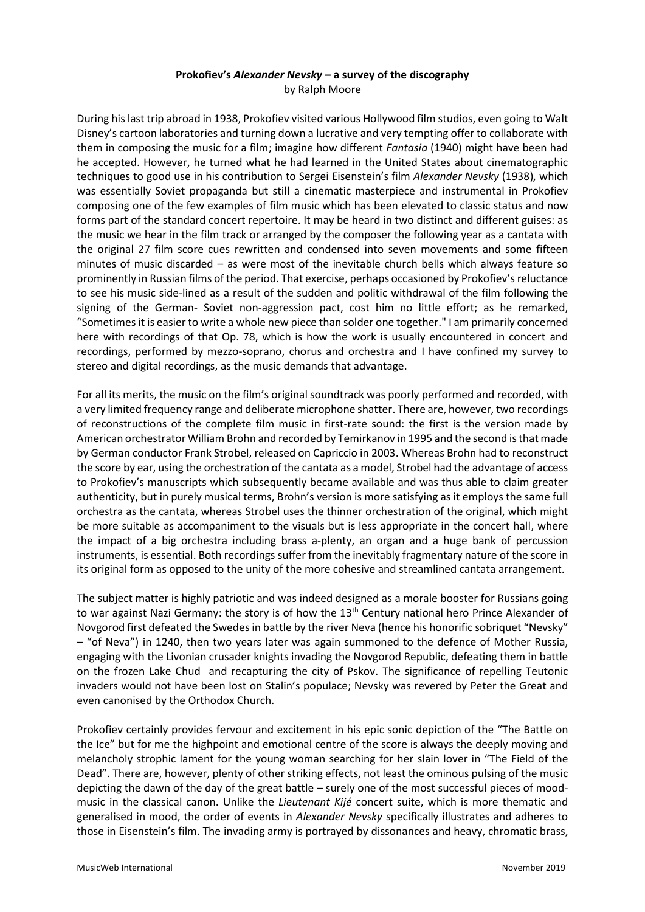## **Prokofiev's** *Alexander Nevsky* **– a survey of the discography** by Ralph Moore

During his last trip abroad in 1938, Prokofiev visited various Hollywood film studios, even going to Walt Disney's cartoon laboratories and turning down a lucrative and very tempting offer to collaborate with them in composing the music for a film; imagine how different *Fantasia* (1940) might have been had he accepted. However, he turned what he had learned in the United States about cinematographic techniques to good use in his contribution to Sergei Eisenstein's film *Alexander Nevsky* (1938)*,* which was essentially Soviet propaganda but still a cinematic masterpiece and instrumental in Prokofiev composing one of the few examples of film music which has been elevated to classic status and now forms part of the standard concert repertoire. It may be heard in two distinct and different guises: as the music we hear in the film track or arranged by the composer the following year as a cantata with the original 27 film score cues rewritten and condensed into seven movements and some fifteen minutes of music discarded – as were most of the inevitable church bells which always feature so prominently in Russian films of the period. That exercise, perhaps occasioned by Prokofiev's reluctance to see his music side-lined as a result of the sudden and politic withdrawal of the film following the signing of the German- Soviet non-aggression pact, cost him no little effort; as he remarked, "Sometimes it is easier to write a whole new piece than solder one together." I am primarily concerned here with recordings of that Op. 78, which is how the work is usually encountered in concert and recordings, performed by mezzo-soprano, chorus and orchestra and I have confined my survey to stereo and digital recordings, as the music demands that advantage.

For all its merits, the music on the film's original soundtrack was poorly performed and recorded, with a very limited frequency range and deliberate microphone shatter. There are, however, two recordings of reconstructions of the complete film music in first-rate sound: the first is the version made by American orchestrator William Brohn and recorded by Temirkanov in 1995 and the second is that made by German conductor Frank Strobel, released on Capriccio in 2003. Whereas Brohn had to reconstruct the score by ear, using the orchestration of the cantata as a model, Strobel had the advantage of access to Prokofiev's manuscripts which subsequently became available and was thus able to claim greater authenticity, but in purely musical terms, Brohn's version is more satisfying as it employs the same full orchestra as the cantata, whereas Strobel uses the thinner orchestration of the original, which might be more suitable as accompaniment to the visuals but is less appropriate in the concert hall, where the impact of a big orchestra including brass a-plenty, an organ and a huge bank of percussion instruments, is essential. Both recordings suffer from the inevitably fragmentary nature of the score in its original form as opposed to the unity of the more cohesive and streamlined cantata arrangement.

The subject matter is highly patriotic and was indeed designed as a morale booster for Russians going to war against Nazi Germany: the story is of how the  $13<sup>th</sup>$  Century national hero Prince Alexander of Novgorod first defeated the Swedes in battle by the river Neva (hence his honorific sobriquet "Nevsky" – "of Neva") in 1240, then two years later was again summoned to the defence of Mother Russia, engaging with the Livonian crusader knights invading the Novgorod Republic, defeating them in battle on the frozen Lake Chud and recapturing the city of Pskov. The significance of repelling Teutonic invaders would not have been lost on Stalin's populace; Nevsky was revered by Peter the Great and even canonised by the Orthodox Church.

Prokofiev certainly provides fervour and excitement in his epic sonic depiction of the "The Battle on the Ice" but for me the highpoint and emotional centre of the score is always the deeply moving and melancholy strophic lament for the young woman searching for her slain lover in "The Field of the Dead". There are, however, plenty of other striking effects, not least the ominous pulsing of the music depicting the dawn of the day of the great battle – surely one of the most successful pieces of moodmusic in the classical canon. Unlike the *Lieutenant Kijé* concert suite, which is more thematic and generalised in mood, the order of events in *Alexander Nevsky* specifically illustrates and adheres to those in Eisenstein's film. The invading army is portrayed by dissonances and heavy, chromatic brass,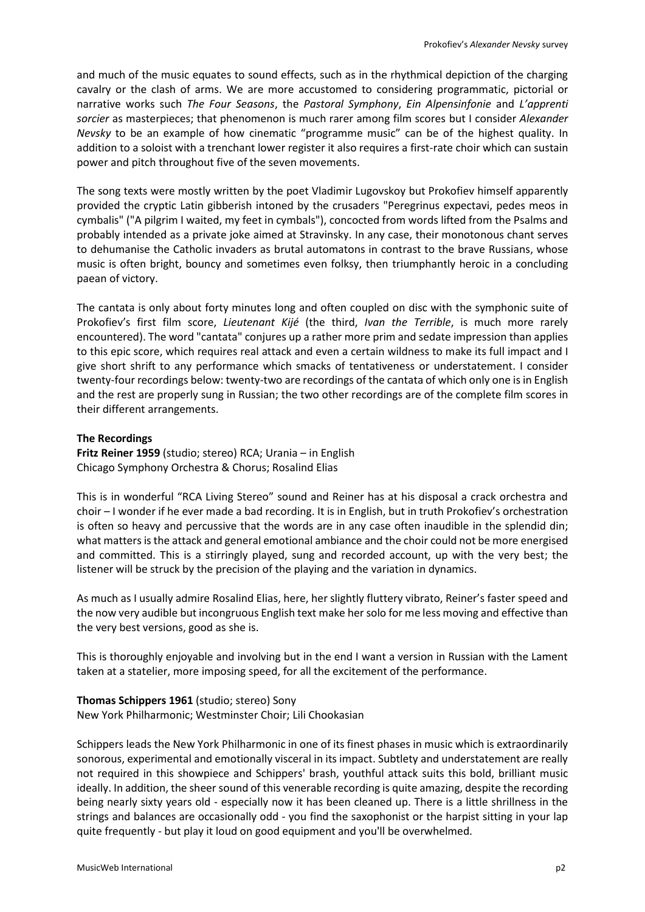and much of the music equates to sound effects, such as in the rhythmical depiction of the charging cavalry or the clash of arms. We are more accustomed to considering programmatic, pictorial or narrative works such *The Four Seasons*, the *Pastoral Symphony*, *Ein Alpensinfonie* and *L'apprenti sorcier* as masterpieces; that phenomenon is much rarer among film scores but I consider *Alexander Nevsky* to be an example of how cinematic "programme music" can be of the highest quality. In addition to a soloist with a trenchant lower register it also requires a first-rate choir which can sustain power and pitch throughout five of the seven movements.

The song texts were mostly written by the poet Vladimir Lugovskoy but Prokofiev himself apparently provided the cryptic Latin gibberish intoned by the crusaders "Peregrinus expectavi, pedes meos in cymbalis" ("A pilgrim I waited, my feet in cymbals"), concocted from words lifted from the Psalms and probably intended as a private joke aimed at Stravinsky. In any case, their monotonous chant serves to dehumanise the Catholic invaders as brutal automatons in contrast to the brave Russians, whose music is often bright, bouncy and sometimes even folksy, then triumphantly heroic in a concluding paean of victory.

The cantata is only about forty minutes long and often coupled on disc with the symphonic suite of Prokofiev's first film score, *Lieutenant Kijé* (the third, *Ivan the Terrible*, is much more rarely encountered). The word "cantata" conjures up a rather more prim and sedate impression than applies to this epic score, which requires real attack and even a certain wildness to make its full impact and I give short shrift to any performance which smacks of tentativeness or understatement. I consider twenty-four recordings below: twenty-two are recordings of the cantata of which only one is in English and the rest are properly sung in Russian; the two other recordings are of the complete film scores in their different arrangements.

## **The Recordings**

**Fritz Reiner 1959** (studio; stereo) RCA; Urania – in English Chicago Symphony Orchestra & Chorus; Rosalind Elias

This is in wonderful "RCA Living Stereo" sound and Reiner has at his disposal a crack orchestra and choir – I wonder if he ever made a bad recording. It is in English, but in truth Prokofiev's orchestration is often so heavy and percussive that the words are in any case often inaudible in the splendid din; what matters is the attack and general emotional ambiance and the choir could not be more energised and committed. This is a stirringly played, sung and recorded account, up with the very best; the listener will be struck by the precision of the playing and the variation in dynamics.

As much as I usually admire Rosalind Elias, here, her slightly fluttery vibrato, Reiner's faster speed and the now very audible but incongruous English text make her solo for me less moving and effective than the very best versions, good as she is.

This is thoroughly enjoyable and involving but in the end I want a version in Russian with the Lament taken at a statelier, more imposing speed, for all the excitement of the performance.

## **Thomas Schippers 1961** (studio; stereo) Sony

New York Philharmonic; Westminster Choir; Lili Chookasian

Schippers leads the New York Philharmonic in one of its finest phases in music which is extraordinarily sonorous, experimental and emotionally visceral in its impact. Subtlety and understatement are really not required in this showpiece and Schippers' brash, youthful attack suits this bold, brilliant music ideally. In addition, the sheer sound of this venerable recording is quite amazing, despite the recording being nearly sixty years old - especially now it has been cleaned up. There is a little shrillness in the strings and balances are occasionally odd - you find the saxophonist or the harpist sitting in your lap quite frequently - but play it loud on good equipment and you'll be overwhelmed.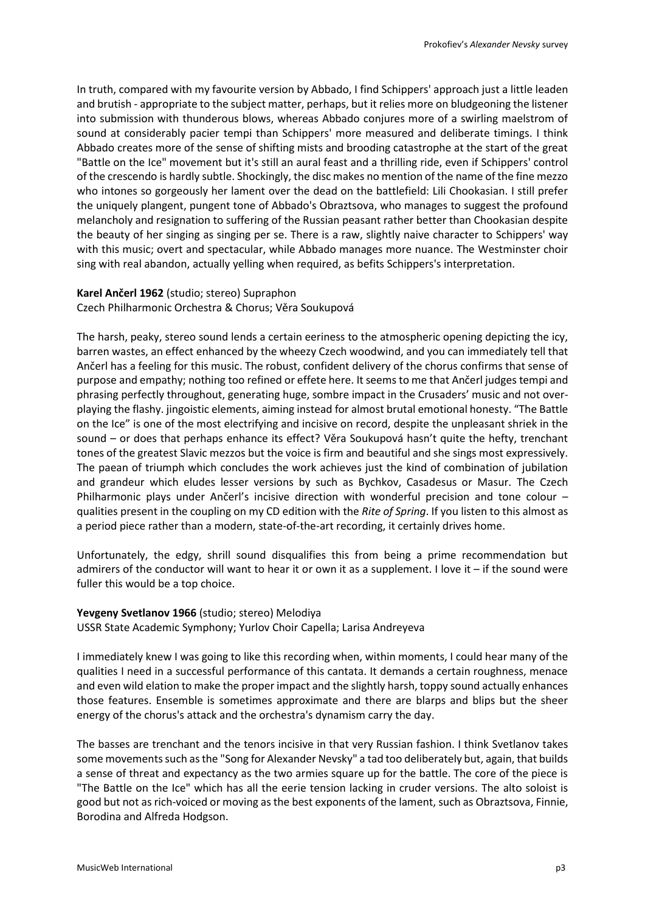In truth, compared with my favourite version by Abbado, I find Schippers' approach just a little leaden and brutish - appropriate to the subject matter, perhaps, but it relies more on bludgeoning the listener into submission with thunderous blows, whereas Abbado conjures more of a swirling maelstrom of sound at considerably pacier tempi than Schippers' more measured and deliberate timings. I think Abbado creates more of the sense of shifting mists and brooding catastrophe at the start of the great "Battle on the Ice" movement but it's still an aural feast and a thrilling ride, even if Schippers' control of the crescendo is hardly subtle. Shockingly, the disc makes no mention of the name of the fine mezzo who intones so gorgeously her lament over the dead on the battlefield: Lili Chookasian. I still prefer the uniquely plangent, pungent tone of Abbado's Obraztsova, who manages to suggest the profound melancholy and resignation to suffering of the Russian peasant rather better than Chookasian despite the beauty of her singing as singing per se. There is a raw, slightly naive character to Schippers' way with this music; overt and spectacular, while Abbado manages more nuance. The Westminster choir sing with real abandon, actually yelling when required, as befits Schippers's interpretation.

### **Karel Ančerl 1962** (studio; stereo) Supraphon Czech Philharmonic Orchestra & Chorus; Věra Soukupová

The harsh, peaky, stereo sound lends a certain eeriness to the atmospheric opening depicting the icy, barren wastes, an effect enhanced by the wheezy Czech woodwind, and you can immediately tell that Ančerl has a feeling for this music. The robust, confident delivery of the chorus confirms that sense of purpose and empathy; nothing too refined or effete here. It seems to me that Ančerl judges tempi and phrasing perfectly throughout, generating huge, sombre impact in the Crusaders' music and not overplaying the flashy. jingoistic elements, aiming instead for almost brutal emotional honesty. "The Battle on the Ice" is one of the most electrifying and incisive on record, despite the unpleasant shriek in the sound – or does that perhaps enhance its effect? Věra Soukupová hasn't quite the hefty, trenchant tones of the greatest Slavic mezzos but the voice is firm and beautiful and she sings most expressively. The paean of triumph which concludes the work achieves just the kind of combination of jubilation and grandeur which eludes lesser versions by such as Bychkov, Casadesus or Masur. The Czech Philharmonic plays under Ančerl's incisive direction with wonderful precision and tone colour – qualities present in the coupling on my CD edition with the *Rite of Spring*. If you listen to this almost as a period piece rather than a modern, state-of-the-art recording, it certainly drives home.

Unfortunately, the edgy, shrill sound disqualifies this from being a prime recommendation but admirers of the conductor will want to hear it or own it as a supplement. I love it – if the sound were fuller this would be a top choice.

## **Yevgeny Svetlanov 1966** (studio; stereo) Melodiya

USSR State Academic Symphony; Yurlov Choir Capella; Larisa Andreyeva

I immediately knew I was going to like this recording when, within moments, I could hear many of the qualities I need in a successful performance of this cantata. It demands a certain roughness, menace and even wild elation to make the proper impact and the slightly harsh, toppy sound actually enhances those features. Ensemble is sometimes approximate and there are blarps and blips but the sheer energy of the chorus's attack and the orchestra's dynamism carry the day.

The basses are trenchant and the tenors incisive in that very Russian fashion. I think Svetlanov takes some movements such as the "Song for Alexander Nevsky" a tad too deliberately but, again, that builds a sense of threat and expectancy as the two armies square up for the battle. The core of the piece is "The Battle on the Ice" which has all the eerie tension lacking in cruder versions. The alto soloist is good but not as rich-voiced or moving as the best exponents of the lament, such as Obraztsova, Finnie, Borodina and Alfreda Hodgson.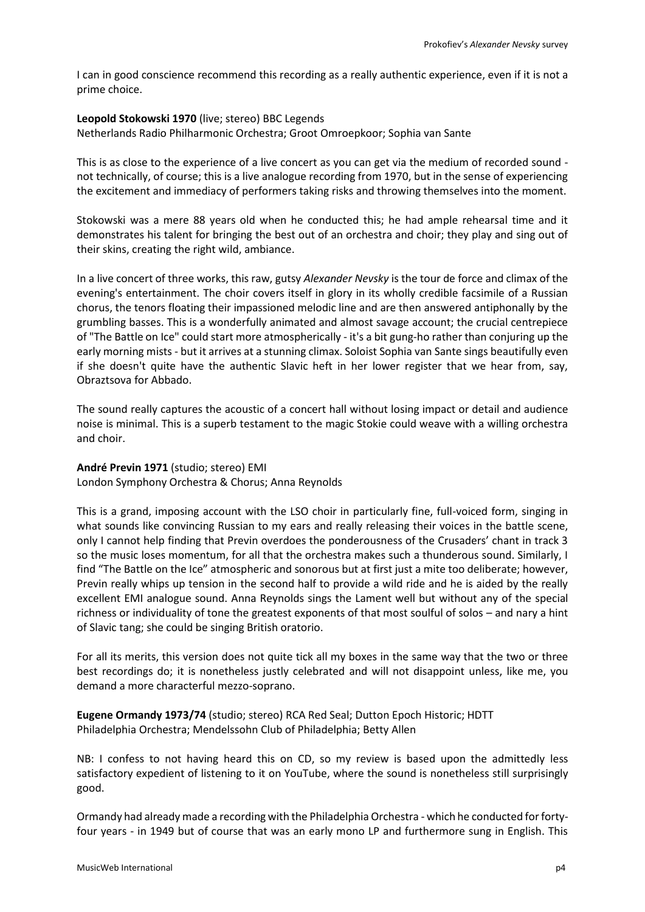I can in good conscience recommend this recording as a really authentic experience, even if it is not a prime choice.

#### **Leopold Stokowski 1970** (live; stereo) BBC Legends

Netherlands Radio Philharmonic Orchestra; Groot Omroepkoor; Sophia van Sante

This is as close to the experience of a live concert as you can get via the medium of recorded sound not technically, of course; this is a live analogue recording from 1970, but in the sense of experiencing the excitement and immediacy of performers taking risks and throwing themselves into the moment.

Stokowski was a mere 88 years old when he conducted this; he had ample rehearsal time and it demonstrates his talent for bringing the best out of an orchestra and choir; they play and sing out of their skins, creating the right wild, ambiance.

In a live concert of three works, this raw, gutsy *Alexander Nevsky* is the tour de force and climax of the evening's entertainment. The choir covers itself in glory in its wholly credible facsimile of a Russian chorus, the tenors floating their impassioned melodic line and are then answered antiphonally by the grumbling basses. This is a wonderfully animated and almost savage account; the crucial centrepiece of "The Battle on Ice" could start more atmospherically - it's a bit gung-ho rather than conjuring up the early morning mists - but it arrives at a stunning climax. Soloist Sophia van Sante sings beautifully even if she doesn't quite have the authentic Slavic heft in her lower register that we hear from, say, Obraztsova for Abbado.

The sound really captures the acoustic of a concert hall without losing impact or detail and audience noise is minimal. This is a superb testament to the magic Stokie could weave with a willing orchestra and choir.

### **André Previn 1971** (studio; stereo) EMI London Symphony Orchestra & Chorus; Anna Reynolds

This is a grand, imposing account with the LSO choir in particularly fine, full-voiced form, singing in what sounds like convincing Russian to my ears and really releasing their voices in the battle scene, only I cannot help finding that Previn overdoes the ponderousness of the Crusaders' chant in track 3 so the music loses momentum, for all that the orchestra makes such a thunderous sound. Similarly, I find "The Battle on the Ice" atmospheric and sonorous but at first just a mite too deliberate; however, Previn really whips up tension in the second half to provide a wild ride and he is aided by the really excellent EMI analogue sound. Anna Reynolds sings the Lament well but without any of the special richness or individuality of tone the greatest exponents of that most soulful of solos – and nary a hint of Slavic tang; she could be singing British oratorio.

For all its merits, this version does not quite tick all my boxes in the same way that the two or three best recordings do; it is nonetheless justly celebrated and will not disappoint unless, like me, you demand a more characterful mezzo-soprano.

**Eugene Ormandy 1973/74** (studio; stereo) RCA Red Seal; Dutton Epoch Historic; HDTT Philadelphia Orchestra; Mendelssohn Club of Philadelphia; Betty Allen

NB: I confess to not having heard this on CD, so my review is based upon the admittedly less satisfactory expedient of listening to it on YouTube, where the sound is nonetheless still surprisingly good.

Ormandy had already made a recording with the Philadelphia Orchestra - which he conducted for fortyfour years - in 1949 but of course that was an early mono LP and furthermore sung in English. This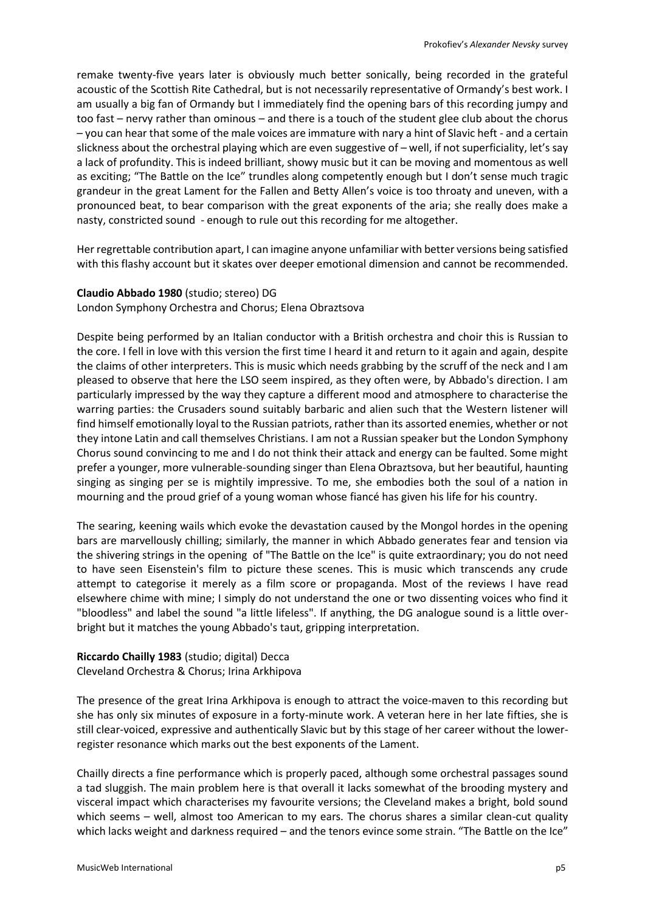remake twenty-five years later is obviously much better sonically, being recorded in the grateful acoustic of the Scottish Rite Cathedral, but is not necessarily representative of Ormandy's best work. I am usually a big fan of Ormandy but I immediately find the opening bars of this recording jumpy and too fast – nervy rather than ominous – and there is a touch of the student glee club about the chorus – you can hear that some of the male voices are immature with nary a hint of Slavic heft - and a certain slickness about the orchestral playing which are even suggestive of – well, if not superficiality, let's say a lack of profundity. This is indeed brilliant, showy music but it can be moving and momentous as well as exciting; "The Battle on the Ice" trundles along competently enough but I don't sense much tragic grandeur in the great Lament for the Fallen and Betty Allen's voice is too throaty and uneven, with a pronounced beat, to bear comparison with the great exponents of the aria; she really does make a nasty, constricted sound - enough to rule out this recording for me altogether.

Her regrettable contribution apart, I can imagine anyone unfamiliar with better versions being satisfied with this flashy account but it skates over deeper emotional dimension and cannot be recommended.

### **Claudio Abbado 1980** (studio; stereo) DG London Symphony Orchestra and Chorus; Elena Obraztsova

Despite being performed by an Italian conductor with a British orchestra and choir this is Russian to the core. I fell in love with this version the first time I heard it and return to it again and again, despite the claims of other interpreters. This is music which needs grabbing by the scruff of the neck and I am pleased to observe that here the LSO seem inspired, as they often were, by Abbado's direction. I am particularly impressed by the way they capture a different mood and atmosphere to characterise the warring parties: the Crusaders sound suitably barbaric and alien such that the Western listener will find himself emotionally loyal to the Russian patriots, rather than its assorted enemies, whether or not they intone Latin and call themselves Christians. I am not a Russian speaker but the London Symphony Chorus sound convincing to me and I do not think their attack and energy can be faulted. Some might prefer a younger, more vulnerable-sounding singer than Elena Obraztsova, but her beautiful, haunting singing as singing per se is mightily impressive. To me, she embodies both the soul of a nation in mourning and the proud grief of a young woman whose fiancé has given his life for his country.

The searing, keening wails which evoke the devastation caused by the Mongol hordes in the opening bars are marvellously chilling; similarly, the manner in which Abbado generates fear and tension via the shivering strings in the opening of "The Battle on the Ice" is quite extraordinary; you do not need to have seen Eisenstein's film to picture these scenes. This is music which transcends any crude attempt to categorise it merely as a film score or propaganda. Most of the reviews I have read elsewhere chime with mine; I simply do not understand the one or two dissenting voices who find it "bloodless" and label the sound "a little lifeless". If anything, the DG analogue sound is a little overbright but it matches the young Abbado's taut, gripping interpretation.

## **Riccardo Chailly 1983** (studio; digital) Decca Cleveland Orchestra & Chorus; Irina Arkhipova

The presence of the great Irina Arkhipova is enough to attract the voice-maven to this recording but she has only six minutes of exposure in a forty-minute work. A veteran here in her late fifties, she is still clear-voiced, expressive and authentically Slavic but by this stage of her career without the lowerregister resonance which marks out the best exponents of the Lament.

Chailly directs a fine performance which is properly paced, although some orchestral passages sound a tad sluggish. The main problem here is that overall it lacks somewhat of the brooding mystery and visceral impact which characterises my favourite versions; the Cleveland makes a bright, bold sound which seems – well, almost too American to my ears. The chorus shares a similar clean-cut quality which lacks weight and darkness required – and the tenors evince some strain. "The Battle on the Ice"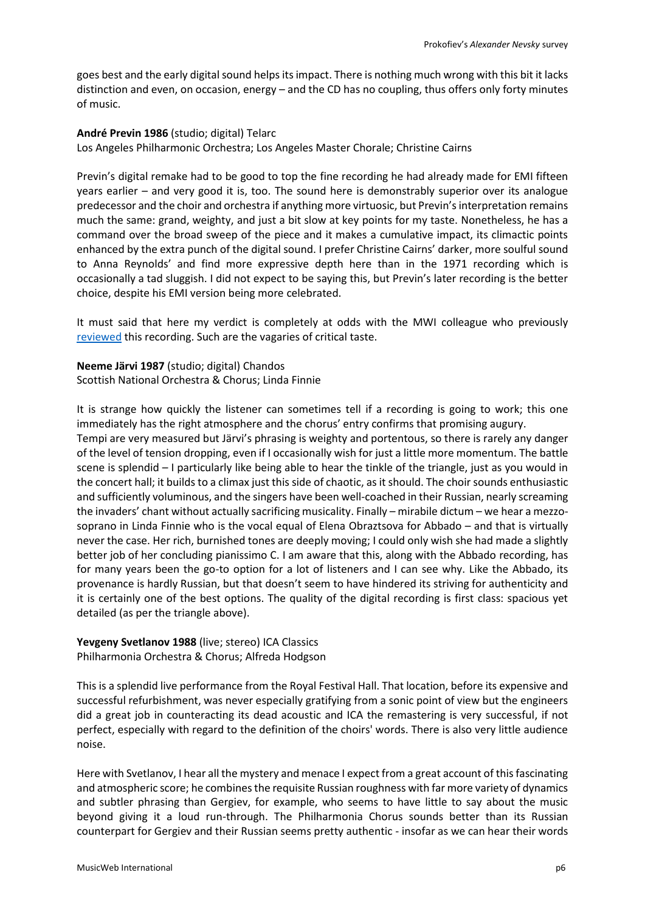goes best and the early digital sound helps its impact. There is nothing much wrong with this bit it lacks distinction and even, on occasion, energy – and the CD has no coupling, thus offers only forty minutes of music.

**André Previn 1986** (studio; digital) Telarc Los Angeles Philharmonic Orchestra; Los Angeles Master Chorale; Christine Cairns

Previn's digital remake had to be good to top the fine recording he had already made for EMI fifteen years earlier – and very good it is, too. The sound here is demonstrably superior over its analogue predecessor and the choir and orchestra if anything more virtuosic, but Previn's interpretation remains much the same: grand, weighty, and just a bit slow at key points for my taste. Nonetheless, he has a command over the broad sweep of the piece and it makes a cumulative impact, its climactic points enhanced by the extra punch of the digital sound. I prefer Christine Cairns' darker, more soulful sound to Anna Reynolds' and find more expressive depth here than in the 1971 recording which is occasionally a tad sluggish. I did not expect to be saying this, but Previn's later recording is the better choice, despite his EMI version being more celebrated.

It must said that here my verdict is completely at odds with the MWI colleague who previously [reviewed](http://www.musicweb-international.com/classrev/2005/Feb05/Prokofiev_Nevsky.htm) this recording. Such are the vagaries of critical taste.

**Neeme Järvi 1987** (studio; digital) Chandos Scottish National Orchestra & Chorus; Linda Finnie

It is strange how quickly the listener can sometimes tell if a recording is going to work; this one immediately has the right atmosphere and the chorus' entry confirms that promising augury.

Tempi are very measured but Järvi's phrasing is weighty and portentous, so there is rarely any danger of the level of tension dropping, even if I occasionally wish for just a little more momentum. The battle scene is splendid – I particularly like being able to hear the tinkle of the triangle, just as you would in the concert hall; it builds to a climax just this side of chaotic, as it should. The choir sounds enthusiastic and sufficiently voluminous, and the singers have been well-coached in their Russian, nearly screaming the invaders' chant without actually sacrificing musicality. Finally – mirabile dictum – we hear a mezzosoprano in Linda Finnie who is the vocal equal of Elena Obraztsova for Abbado – and that is virtually never the case. Her rich, burnished tones are deeply moving; I could only wish she had made a slightly better job of her concluding pianissimo C. I am aware that this, along with the Abbado recording, has for many years been the go-to option for a lot of listeners and I can see why. Like the Abbado, its provenance is hardly Russian, but that doesn't seem to have hindered its striving for authenticity and it is certainly one of the best options. The quality of the digital recording is first class: spacious yet detailed (as per the triangle above).

**Yevgeny Svetlanov 1988** (live; stereo) ICA Classics Philharmonia Orchestra & Chorus; Alfreda Hodgson

This is a splendid live performance from the Royal Festival Hall. That location, before its expensive and successful refurbishment, was never especially gratifying from a sonic point of view but the engineers did a great job in counteracting its dead acoustic and ICA the remastering is very successful, if not perfect, especially with regard to the definition of the choirs' words. There is also very little audience noise.

Here with Svetlanov, I hear all the mystery and menace I expect from a great account of this fascinating and atmospheric score; he combines the requisite Russian roughness with far more variety of dynamics and subtler phrasing than Gergiev, for example, who seems to have little to say about the music beyond giving it a loud run-through. The Philharmonia Chorus sounds better than its Russian counterpart for Gergiev and their Russian seems pretty authentic - insofar as we can hear their words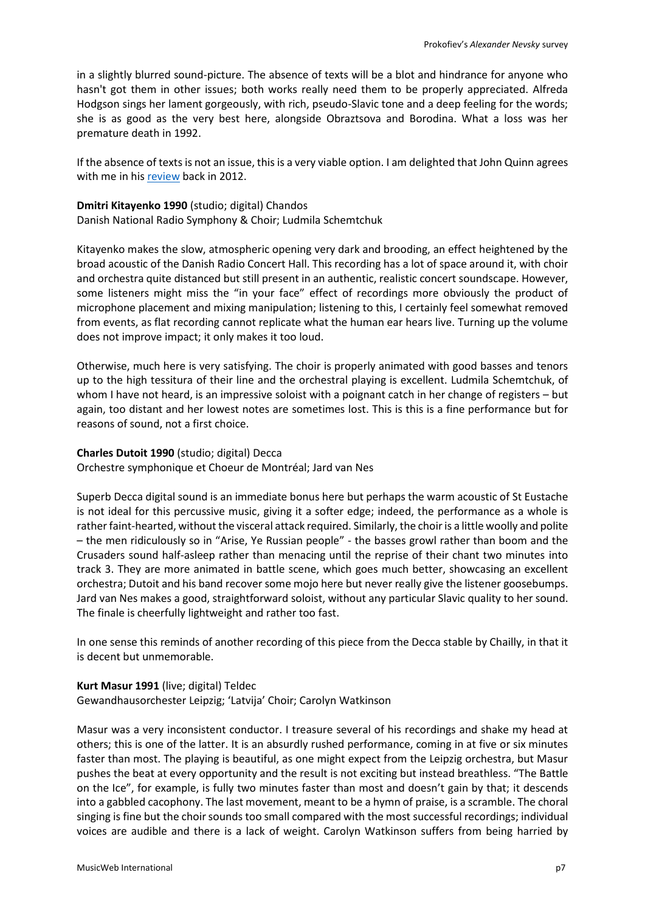in a slightly blurred sound-picture. The absence of texts will be a blot and hindrance for anyone who hasn't got them in other issues; both works really need them to be properly appreciated. Alfreda Hodgson sings her lament gorgeously, with rich, pseudo-Slavic tone and a deep feeling for the words; she is as good as the very best here, alongside Obraztsova and Borodina. What a loss was her premature death in 1992.

If the absence of texts is not an issue, this is a very viable option. I am delighted that John Quinn agrees with me in his [review](http://www.musicweb-international.com/classrev/2012/Aug12/Rachmaninov_Bells_ICAC5069.htm) back in 2012.

### **Dmitri Kitayenko 1990** (studio; digital) Chandos Danish National Radio Symphony & Choir; Ludmila Schemtchuk

Kitayenko makes the slow, atmospheric opening very dark and brooding, an effect heightened by the broad acoustic of the Danish Radio Concert Hall. This recording has a lot of space around it, with choir and orchestra quite distanced but still present in an authentic, realistic concert soundscape. However, some listeners might miss the "in your face" effect of recordings more obviously the product of microphone placement and mixing manipulation; listening to this, I certainly feel somewhat removed from events, as flat recording cannot replicate what the human ear hears live. Turning up the volume does not improve impact; it only makes it too loud.

Otherwise, much here is very satisfying. The choir is properly animated with good basses and tenors up to the high tessitura of their line and the orchestral playing is excellent. Ludmila Schemtchuk, of whom I have not heard, is an impressive soloist with a poignant catch in her change of registers – but again, too distant and her lowest notes are sometimes lost. This is this is a fine performance but for reasons of sound, not a first choice.

### **Charles Dutoit 1990** (studio; digital) Decca

Orchestre symphonique et Choeur de Montréal; Jard van Nes

Superb Decca digital sound is an immediate bonus here but perhaps the warm acoustic of St Eustache is not ideal for this percussive music, giving it a softer edge; indeed, the performance as a whole is rather faint-hearted, without the visceral attack required. Similarly, the choir is a little woolly and polite – the men ridiculously so in "Arise, Ye Russian people" - the basses growl rather than boom and the Crusaders sound half-asleep rather than menacing until the reprise of their chant two minutes into track 3. They are more animated in battle scene, which goes much better, showcasing an excellent orchestra; Dutoit and his band recover some mojo here but never really give the listener goosebumps. Jard van Nes makes a good, straightforward soloist, without any particular Slavic quality to her sound. The finale is cheerfully lightweight and rather too fast.

In one sense this reminds of another recording of this piece from the Decca stable by Chailly, in that it is decent but unmemorable.

# **Kurt Masur 1991** (live; digital) Teldec Gewandhausorchester Leipzig; 'Latvija' Choir; Carolyn Watkinson

Masur was a very inconsistent conductor. I treasure several of his recordings and shake my head at others; this is one of the latter. It is an absurdly rushed performance, coming in at five or six minutes faster than most. The playing is beautiful, as one might expect from the Leipzig orchestra, but Masur pushes the beat at every opportunity and the result is not exciting but instead breathless. "The Battle on the Ice", for example, is fully two minutes faster than most and doesn't gain by that; it descends into a gabbled cacophony. The last movement, meant to be a hymn of praise, is a scramble. The choral singing is fine but the choir sounds too small compared with the most successful recordings; individual voices are audible and there is a lack of weight. Carolyn Watkinson suffers from being harried by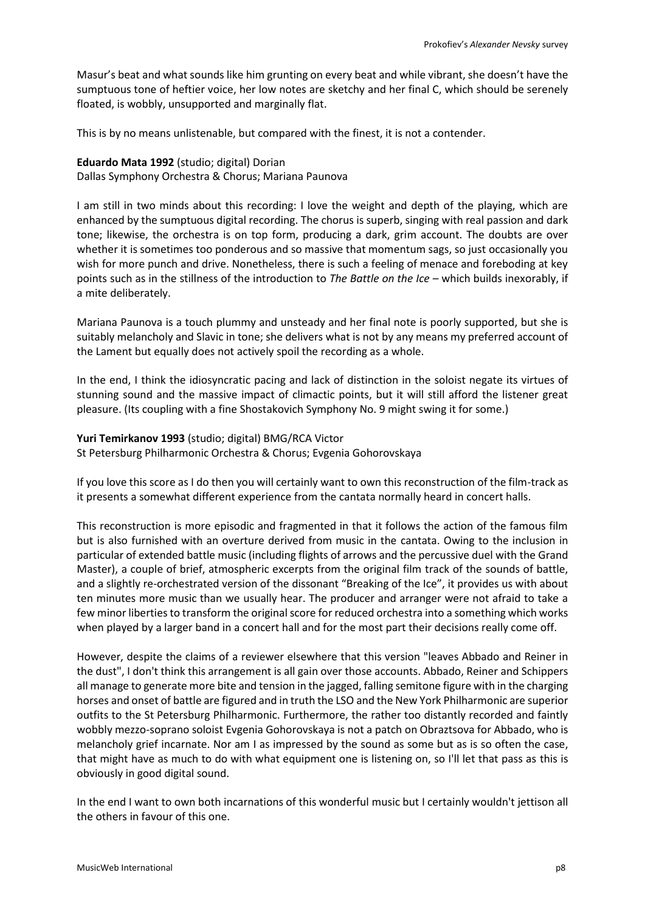Masur's beat and what sounds like him grunting on every beat and while vibrant, she doesn't have the sumptuous tone of heftier voice, her low notes are sketchy and her final C, which should be serenely floated, is wobbly, unsupported and marginally flat.

This is by no means unlistenable, but compared with the finest, it is not a contender.

#### **Eduardo Mata 1992** (studio; digital) Dorian

Dallas Symphony Orchestra & Chorus; Mariana Paunova

I am still in two minds about this recording: I love the weight and depth of the playing, which are enhanced by the sumptuous digital recording. The chorus is superb, singing with real passion and dark tone; likewise, the orchestra is on top form, producing a dark, grim account. The doubts are over whether it is sometimes too ponderous and so massive that momentum sags, so just occasionally you wish for more punch and drive. Nonetheless, there is such a feeling of menace and foreboding at key points such as in the stillness of the introduction to *The Battle on the Ice* – which builds inexorably, if a mite deliberately.

Mariana Paunova is a touch plummy and unsteady and her final note is poorly supported, but she is suitably melancholy and Slavic in tone; she delivers what is not by any means my preferred account of the Lament but equally does not actively spoil the recording as a whole.

In the end, I think the idiosyncratic pacing and lack of distinction in the soloist negate its virtues of stunning sound and the massive impact of climactic points, but it will still afford the listener great pleasure. (Its coupling with a fine Shostakovich Symphony No. 9 might swing it for some.)

#### **Yuri Temirkanov 1993** (studio; digital) BMG/RCA Victor

St Petersburg Philharmonic Orchestra & Chorus; Evgenia Gohorovskaya

If you love this score as I do then you will certainly want to own this reconstruction of the film-track as it presents a somewhat different experience from the cantata normally heard in concert halls.

This reconstruction is more episodic and fragmented in that it follows the action of the famous film but is also furnished with an overture derived from music in the cantata. Owing to the inclusion in particular of extended battle music (including flights of arrows and the percussive duel with the Grand Master), a couple of brief, atmospheric excerpts from the original film track of the sounds of battle, and a slightly re-orchestrated version of the dissonant "Breaking of the Ice", it provides us with about ten minutes more music than we usually hear. The producer and arranger were not afraid to take a few minor liberties to transform the original score for reduced orchestra into a something which works when played by a larger band in a concert hall and for the most part their decisions really come off.

However, despite the claims of a reviewer elsewhere that this version "leaves Abbado and Reiner in the dust", I don't think this arrangement is all gain over those accounts. Abbado, Reiner and Schippers all manage to generate more bite and tension in the jagged, falling semitone figure with in the charging horses and onset of battle are figured and in truth the LSO and the New York Philharmonic are superior outfits to the St Petersburg Philharmonic. Furthermore, the rather too distantly recorded and faintly wobbly mezzo-soprano soloist Evgenia Gohorovskaya is not a patch on Obraztsova for Abbado, who is melancholy grief incarnate. Nor am I as impressed by the sound as some but as is so often the case, that might have as much to do with what equipment one is listening on, so I'll let that pass as this is obviously in good digital sound.

In the end I want to own both incarnations of this wonderful music but I certainly wouldn't jettison all the others in favour of this one.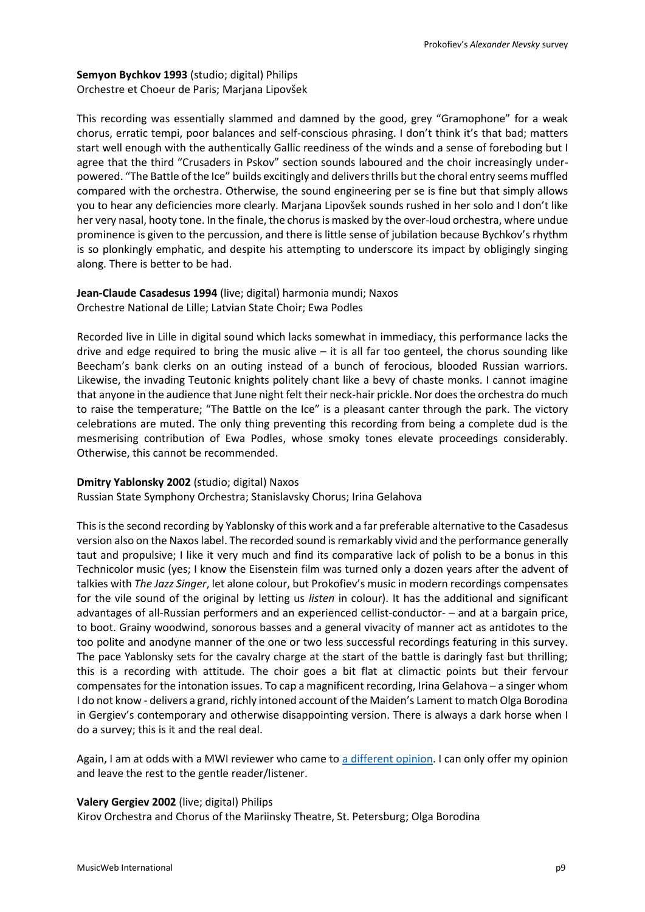# **Semyon Bychkov 1993** (studio; digital) Philips Orchestre et Choeur de Paris; Marjana Lipovšek

This recording was essentially slammed and damned by the good, grey "Gramophone" for a weak chorus, erratic tempi, poor balances and self-conscious phrasing. I don't think it's that bad; matters start well enough with the authentically Gallic reediness of the winds and a sense of foreboding but I agree that the third "Crusaders in Pskov" section sounds laboured and the choir increasingly underpowered. "The Battle of the Ice" builds excitingly and delivers thrills but the choral entry seems muffled compared with the orchestra. Otherwise, the sound engineering per se is fine but that simply allows you to hear any deficiencies more clearly. Marjana Lipovšek sounds rushed in her solo and I don't like her very nasal, hooty tone. In the finale, the chorus is masked by the over-loud orchestra, where undue prominence is given to the percussion, and there is little sense of jubilation because Bychkov's rhythm is so plonkingly emphatic, and despite his attempting to underscore its impact by obligingly singing along. There is better to be had.

# **Jean-Claude Casadesus 1994** (live; digital) harmonia mundi; Naxos Orchestre National de Lille; Latvian State Choir; Ewa Podles

Recorded live in Lille in digital sound which lacks somewhat in immediacy, this performance lacks the drive and edge required to bring the music alive  $-$  it is all far too genteel, the chorus sounding like Beecham's bank clerks on an outing instead of a bunch of ferocious, blooded Russian warriors. Likewise, the invading Teutonic knights politely chant like a bevy of chaste monks. I cannot imagine that anyone in the audience that June night felt their neck-hair prickle. Nor does the orchestra do much to raise the temperature; "The Battle on the Ice" is a pleasant canter through the park. The victory celebrations are muted. The only thing preventing this recording from being a complete dud is the mesmerising contribution of Ewa Podles, whose smoky tones elevate proceedings considerably. Otherwise, this cannot be recommended.

## **Dmitry Yablonsky 2002** (studio; digital) Naxos

Russian State Symphony Orchestra; Stanislavsky Chorus; Irina Gelahova

This is the second recording by Yablonsky of this work and a far preferable alternative to the Casadesus version also on the Naxos label. The recorded sound is remarkably vivid and the performance generally taut and propulsive; I like it very much and find its comparative lack of polish to be a bonus in this Technicolor music (yes; I know the Eisenstein film was turned only a dozen years after the advent of talkies with *The Jazz Singer*, let alone colour, but Prokofiev's music in modern recordings compensates for the vile sound of the original by letting us *listen* in colour). It has the additional and significant advantages of all-Russian performers and an experienced cellist-conductor- – and at a bargain price, to boot. Grainy woodwind, sonorous basses and a general vivacity of manner act as antidotes to the too polite and anodyne manner of the one or two less successful recordings featuring in this survey. The pace Yablonsky sets for the cavalry charge at the start of the battle is daringly fast but thrilling; this is a recording with attitude. The choir goes a bit flat at climactic points but their fervour compensates for the intonation issues. To cap a magnificent recording, Irina Gelahova – a singer whom I do not know - delivers a grand, richly intoned account of the Maiden's Lament to match Olga Borodina in Gergiev's contemporary and otherwise disappointing version. There is always a dark horse when I do a survey; this is it and the real deal.

Again, I am at odds with a MWI reviewer who came to [a different opinion.](http://www.musicweb-international.com/classrev/2003/Aug03/Prokofiev_Nevsky.htm) I can only offer my opinion and leave the rest to the gentle reader/listener.

## **Valery Gergiev 2002** (live; digital) Philips

Kirov Orchestra and Chorus of the Mariinsky Theatre, St. Petersburg; Olga Borodina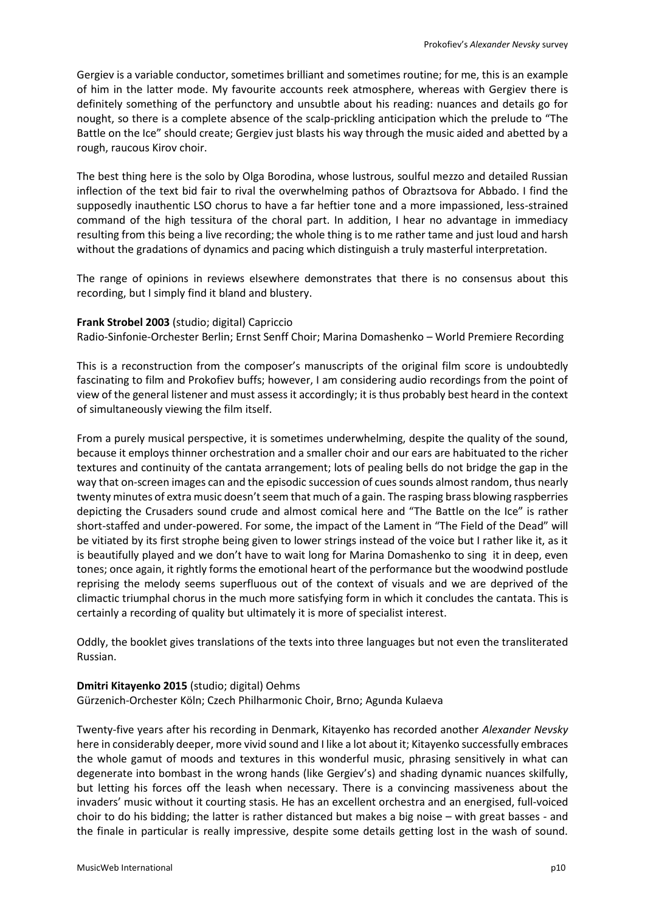Gergiev is a variable conductor, sometimes brilliant and sometimes routine; for me, this is an example of him in the latter mode. My favourite accounts reek atmosphere, whereas with Gergiev there is definitely something of the perfunctory and unsubtle about his reading: nuances and details go for nought, so there is a complete absence of the scalp-prickling anticipation which the prelude to "The Battle on the Ice" should create; Gergiev just blasts his way through the music aided and abetted by a rough, raucous Kirov choir.

The best thing here is the solo by Olga Borodina, whose lustrous, soulful mezzo and detailed Russian inflection of the text bid fair to rival the overwhelming pathos of Obraztsova for Abbado. I find the supposedly inauthentic LSO chorus to have a far heftier tone and a more impassioned, less-strained command of the high tessitura of the choral part. In addition, I hear no advantage in immediacy resulting from this being a live recording; the whole thing is to me rather tame and just loud and harsh without the gradations of dynamics and pacing which distinguish a truly masterful interpretation.

The range of opinions in reviews elsewhere demonstrates that there is no consensus about this recording, but I simply find it bland and blustery.

#### **Frank Strobel 2003** (studio; digital) Capriccio

Radio-Sinfonie-Orchester Berlin; Ernst Senff Choir; Marina Domashenko – World Premiere Recording

This is a reconstruction from the composer's manuscripts of the original film score is undoubtedly fascinating to film and Prokofiev buffs; however, I am considering audio recordings from the point of view of the general listener and must assess it accordingly; it is thus probably best heard in the context of simultaneously viewing the film itself.

From a purely musical perspective, it is sometimes underwhelming, despite the quality of the sound, because it employs thinner orchestration and a smaller choir and our ears are habituated to the richer textures and continuity of the cantata arrangement; lots of pealing bells do not bridge the gap in the way that on-screen images can and the episodic succession of cues sounds almost random, thus nearly twenty minutes of extra music doesn't seem that much of a gain. The rasping brass blowing raspberries depicting the Crusaders sound crude and almost comical here and "The Battle on the Ice" is rather short-staffed and under-powered. For some, the impact of the Lament in "The Field of the Dead" will be vitiated by its first strophe being given to lower strings instead of the voice but I rather like it, as it is beautifully played and we don't have to wait long for Marina Domashenko to sing it in deep, even tones; once again, it rightly forms the emotional heart of the performance but the woodwind postlude reprising the melody seems superfluous out of the context of visuals and we are deprived of the climactic triumphal chorus in the much more satisfying form in which it concludes the cantata. This is certainly a recording of quality but ultimately it is more of specialist interest.

Oddly, the booklet gives translations of the texts into three languages but not even the transliterated Russian.

#### **Dmitri Kitayenko 2015** (studio; digital) Oehms

Gürzenich-Orchester Köln; Czech Philharmonic Choir, Brno; Agunda Kulaeva

Twenty-five years after his recording in Denmark, Kitayenko has recorded another *Alexander Nevsky* here in considerably deeper, more vivid sound and I like a lot about it; Kitayenko successfully embraces the whole gamut of moods and textures in this wonderful music, phrasing sensitively in what can degenerate into bombast in the wrong hands (like Gergiev's) and shading dynamic nuances skilfully, but letting his forces off the leash when necessary. There is a convincing massiveness about the invaders' music without it courting stasis. He has an excellent orchestra and an energised, full-voiced choir to do his bidding; the latter is rather distanced but makes a big noise – with great basses - and the finale in particular is really impressive, despite some details getting lost in the wash of sound.